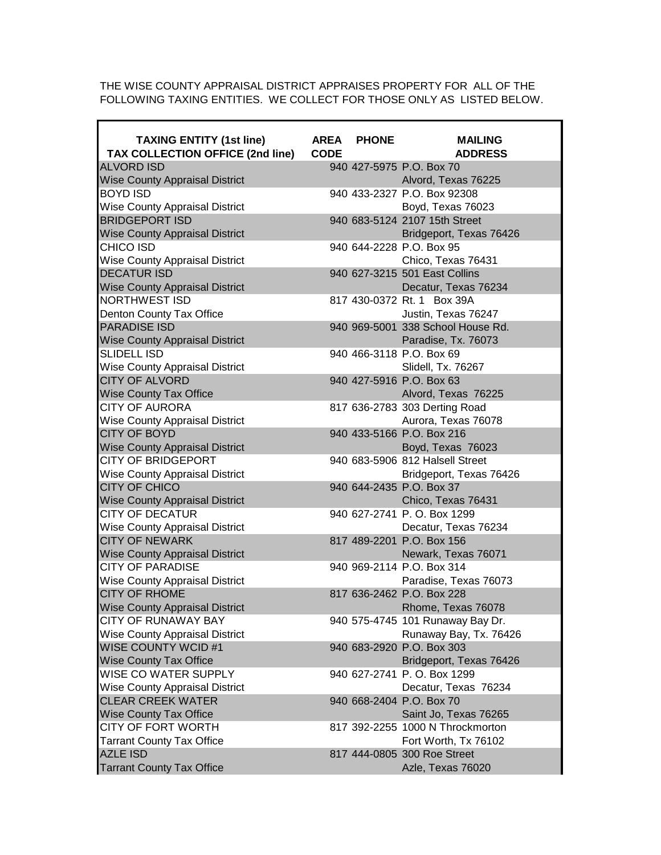THE WISE COUNTY APPRAISAL DISTRICT APPRAISES PROPERTY FOR ALL OF THE FOLLOWING TAXING ENTITIES. WE COLLECT FOR THOSE ONLY AS LISTED BELOW.

| <b>TAXING ENTITY (1st line)</b><br>TAX COLLECTION OFFICE (2nd line) | <b>AREA</b><br><b>CODE</b> | <b>PHONE</b> | <b>MAILING</b><br><b>ADDRESS</b>  |
|---------------------------------------------------------------------|----------------------------|--------------|-----------------------------------|
| <b>ALVORD ISD</b>                                                   |                            |              | 940 427-5975 P.O. Box 70          |
| <b>Wise County Appraisal District</b>                               |                            |              | Alvord, Texas 76225               |
| <b>BOYD ISD</b>                                                     |                            |              | 940 433-2327 P.O. Box 92308       |
| <b>Wise County Appraisal District</b>                               |                            |              | Boyd, Texas 76023                 |
| <b>BRIDGEPORT ISD</b>                                               |                            |              | 940 683-5124 2107 15th Street     |
| <b>Wise County Appraisal District</b>                               |                            |              | Bridgeport, Texas 76426           |
| CHICO ISD                                                           |                            |              | 940 644-2228 P.O. Box 95          |
| <b>Wise County Appraisal District</b>                               |                            |              | Chico, Texas 76431                |
| <b>DECATUR ISD</b>                                                  |                            |              | 940 627-3215 501 East Collins     |
| <b>Wise County Appraisal District</b>                               |                            |              | Decatur, Texas 76234              |
| <b>NORTHWEST ISD</b>                                                |                            |              | 817 430-0372 Rt. 1 Box 39A        |
| Denton County Tax Office                                            |                            |              | Justin, Texas 76247               |
| <b>PARADISE ISD</b>                                                 |                            |              | 940 969-5001 338 School House Rd. |
| <b>Wise County Appraisal District</b>                               |                            |              | Paradise, Tx. 76073               |
| <b>SLIDELL ISD</b>                                                  |                            |              | 940 466-3118 P.O. Box 69          |
| <b>Wise County Appraisal District</b>                               |                            |              | Slidell, Tx. 76267                |
| <b>CITY OF ALVORD</b>                                               |                            |              | 940 427-5916 P.O. Box 63          |
| <b>Wise County Tax Office</b>                                       |                            |              | Alvord, Texas 76225               |
| <b>CITY OF AURORA</b>                                               |                            |              | 817 636-2783 303 Derting Road     |
| <b>Wise County Appraisal District</b>                               |                            |              | Aurora, Texas 76078               |
| <b>CITY OF BOYD</b>                                                 |                            |              | 940 433-5166 P.O. Box 216         |
| <b>Wise County Appraisal District</b>                               |                            |              | Boyd, Texas 76023                 |
| <b>CITY OF BRIDGEPORT</b>                                           |                            |              | 940 683-5906 812 Halsell Street   |
| <b>Wise County Appraisal District</b>                               |                            |              | Bridgeport, Texas 76426           |
| <b>CITY OF CHICO</b>                                                |                            |              | 940 644-2435 P.O. Box 37          |
| <b>Wise County Appraisal District</b>                               |                            |              | Chico, Texas 76431                |
| <b>CITY OF DECATUR</b>                                              |                            |              | 940 627-2741 P.O. Box 1299        |
| <b>Wise County Appraisal District</b>                               |                            |              | Decatur, Texas 76234              |
| <b>CITY OF NEWARK</b>                                               |                            |              | 817 489-2201 P.O. Box 156         |
| <b>Wise County Appraisal District</b>                               |                            |              | Newark, Texas 76071               |
| <b>CITY OF PARADISE</b>                                             |                            |              | 940 969-2114 P.O. Box 314         |
| <b>Wise County Appraisal District</b>                               |                            |              | Paradise, Texas 76073             |
| <b>CITY OF RHOME</b>                                                |                            |              | 817 636-2462 P.O. Box 228         |
| <b>Wise County Appraisal District</b>                               |                            |              | Rhome, Texas 76078                |
| <b>CITY OF RUNAWAY BAY</b>                                          |                            |              | 940 575-4745 101 Runaway Bay Dr.  |
| <b>Wise County Appraisal District</b>                               |                            |              | Runaway Bay, Tx. 76426            |
| <b>WISE COUNTY WCID #1</b>                                          |                            |              | 940 683-2920 P.O. Box 303         |
| <b>Wise County Tax Office</b>                                       |                            |              | Bridgeport, Texas 76426           |
| WISE CO WATER SUPPLY                                                |                            |              | 940 627-2741 P.O. Box 1299        |
| <b>Wise County Appraisal District</b>                               |                            |              | Decatur, Texas 76234              |
| <b>CLEAR CREEK WATER</b>                                            |                            |              | 940 668-2404 P.O. Box 70          |
| <b>Wise County Tax Office</b>                                       |                            |              | Saint Jo, Texas 76265             |
| <b>CITY OF FORT WORTH</b>                                           |                            |              | 817 392-2255 1000 N Throckmorton  |
| <b>Tarrant County Tax Office</b>                                    |                            |              | Fort Worth, Tx 76102              |
| <b>AZLE ISD</b>                                                     |                            |              | 817 444-0805 300 Roe Street       |
| <b>Tarrant County Tax Office</b>                                    |                            |              | Azle, Texas 76020                 |